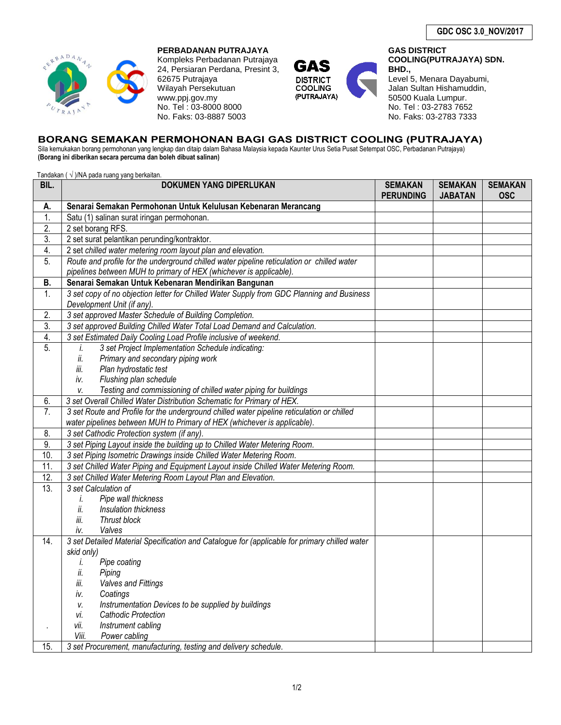

# **PERBADANAN PUTRAJAYA**

Kompleks Perbadanan Putrajaya 24, Persiaran Perdana, Presint 3, 62675 Putrajaya Wilayah Persekutuan www.ppj.gov.my No. Tel : 03-8000 8000 No. Faks: 03-8887 5003



**GAS DISTRICT COOLING(PUTRAJAYA) SDN. BHD.,** 

Level 5, Menara Dayabumi, Jalan Sultan Hishamuddin, 50500 Kuala Lumpur. No. Tel : 03-2783 7652 No. Faks: 03-2783 7333

### **BORANG SEMAKAN PERMOHONAN BAGI GAS DISTRICT COOLING (PUTRAJAYA)**

Sila kemukakan borang permohonan yang lengkap dan ditaip dalam Bahasa Malaysia kepada Kaunter Urus Setia Pusat Setempat OSC, Perbadanan Putrajaya) **(Borang ini diberikan secara percuma dan boleh dibuat salinan)**

Tandakan ( $\sqrt{}$ )/NA pada ruang yang berkaitan.

|                                                                                                                | <b>JABATAN</b> | <b>OSC</b> |
|----------------------------------------------------------------------------------------------------------------|----------------|------------|
| Senarai Semakan Permohonan Untuk Kelulusan Kebenaran Merancang<br>A.                                           |                |            |
| 1.<br>Satu (1) salinan surat iringan permohonan.                                                               |                |            |
| 2.<br>2 set borang RFS.                                                                                        |                |            |
| 3.<br>2 set surat pelantikan perunding/kontraktor.                                                             |                |            |
| 4.<br>2 set chilled water metering room layout plan and elevation.                                             |                |            |
| Route and profile for the underground chilled water pipeline reticulation or chilled water<br>5.               |                |            |
| pipelines between MUH to primary of HEX (whichever is applicable).                                             |                |            |
| Senarai Semakan Untuk Kebenaran Mendirikan Bangunan<br><b>B.</b>                                               |                |            |
| 3 set copy of no objection letter for Chilled Water Supply from GDC Planning and Business<br>1.                |                |            |
| Development Unit (if any).                                                                                     |                |            |
| 3 set approved Master Schedule of Building Completion.<br>2.                                                   |                |            |
| $\overline{3}$ .<br>3 set approved Building Chilled Water Total Load Demand and Calculation.                   |                |            |
| 4.<br>3 set Estimated Daily Cooling Load Profile inclusive of weekend.                                         |                |            |
| $\overline{5}$ .<br>3 set Project Implementation Schedule indicating:<br>İ.                                    |                |            |
| Primary and secondary piping work<br>ii.                                                                       |                |            |
| iii.<br>Plan hydrostatic test                                                                                  |                |            |
| Flushing plan schedule<br>iv.                                                                                  |                |            |
| Testing and commissioning of chilled water piping for buildings<br>V.                                          |                |            |
| 3 set Overall Chilled Water Distribution Schematic for Primary of HEX.<br>6.                                   |                |            |
| $\overline{7}$ .<br>3 set Route and Profile for the underground chilled water pipeline reticulation or chilled |                |            |
| water pipelines between MUH to Primary of HEX (whichever is applicable).                                       |                |            |
| $\overline{\mathcal{E}}$<br>3 set Cathodic Protection system (if any).                                         |                |            |
| 9.<br>3 set Piping Layout inside the building up to Chilled Water Metering Room.                               |                |            |
| 10.<br>3 set Piping Isometric Drawings inside Chilled Water Metering Room.                                     |                |            |
| 11.<br>3 set Chilled Water Piping and Equipment Layout inside Chilled Water Metering Room.                     |                |            |
| 12.<br>3 set Chilled Water Metering Room Layout Plan and Elevation.                                            |                |            |
| 13.<br>3 set Calculation of                                                                                    |                |            |
| Pipe wall thickness<br>İ.                                                                                      |                |            |
| ii.<br>Insulation thickness                                                                                    |                |            |
| iii.<br>Thrust block                                                                                           |                |            |
| Valves<br>iv.                                                                                                  |                |            |
| 3 set Detailed Material Specification and Catalogue for (applicable for primary chilled water<br>14.           |                |            |
| skid only)<br>Pipe coating<br>i.                                                                               |                |            |
| ii.<br>Piping                                                                                                  |                |            |
| iii.<br><b>Valves and Fittings</b>                                                                             |                |            |
| Coatings<br>iv.                                                                                                |                |            |
| Instrumentation Devices to be supplied by buildings<br>v.                                                      |                |            |
| <b>Cathodic Protection</b><br>vi.                                                                              |                |            |
| Instrument cabling<br>vіі.<br>$\blacksquare$                                                                   |                |            |
| Power cabling<br>Viii.                                                                                         |                |            |
| 3 set Procurement, manufacturing, testing and delivery schedule.<br>15.                                        |                |            |